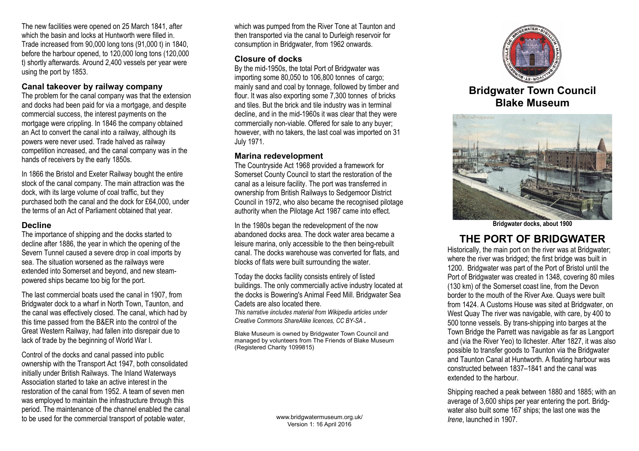The new facilities were opened on 25 March 1841, after which the basin and locks at Huntworth were filled in. Trade increased from 90,000 long tons (91,000 t) in 1840, before the harbour opened, to 120,000 long tons (120,000 t) shortly afterwards. Around 2,400 vessels per year were using the port by 1853.

### **Canal takeover by railway company**

The problem for the canal company was that the extension and docks had been paid for via a mortgage, and despite commercial success, the interest payments on the mortgage were crippling. In 1846 the company obtained an Act to convert the canal into a railway, although its powers were never used. Trade halved as railway competition increased, and the canal company was in the hands of receivers by the early 1850s.

In 1866 the Bristol and Exeter Railway bought the entire stock of the canal company. The main attraction was the dock, with its large volume of coal traffic, but they purchased both the canal and the dock for £64,000, under the terms of an Act of Parliament obtained that year.

#### **Decline**

The importance of shipping and the docks started to decline after 1886, the year in which the opening of the Severn Tunnel caused a severe drop in coal imports by sea. The situation worsened as the railways were extended into Somerset and beyond, and new steampowered ships became too big for the port.

The last commercial boats used the canal in 1907, from Bridgwater dock to a wharf in North Town, Taunton, and the canal was effectively closed. The canal, which had by this time passed from the B&ER into the control of the Great Western Railway, had fallen into disrepair due to lack of trade by the beginning of World War I.

Control of the docks and canal passed into public ownership with the Transport Act 1947, both consolidated initially under British Railways. The Inland Waterways Association started to take an active interest in the restoration of the canal from 1952. A team of seven men was employed to maintain the infrastructure through this period. The maintenance of the channel enabled the canal to be used for the commercial transport of potable water,

which was pumped from the River Tone at Taunton and then transported via the canal to Durleigh reservoir for consumption in Bridgwater, from 1962 onwards.

### **Closure of docks**

By the mid-1950s, the total Port of Bridgwater was importing some 80,050 to 106,800 tonnes of cargo; mainly sand and coal by tonnage, followed by timber and flour. It was also exporting some 7,300 tonnes of bricks and tiles. But the brick and tile industry was in terminal decline, and in the mid-1960s it was clear that they were commercially non-viable. Offered for sale to any buyer; however, with no takers, the last coal was imported on 31 July 1971.

### **Marina redevelopment**

The Countryside Act 1968 provided a framework for Somerset County Council to start the restoration of the canal as a leisure facility. The port was transferred in ownership from British Railways to Sedgemoor District Council in 1972, who also became the recognised pilotage authority when the Pilotage Act 1987 came into effect.

In the 1980s began the redevelopment of the now abandoned docks area. The dock water area became a leisure marina, only accessible to the then being-rebuilt canal. The docks warehouse was converted for flats, and blocks of flats were built surrounding the water.

Today the docks facility consists entirely of listed buildings. The only commercially active industry located at the docks is Bowering's Animal Feed Mill. Bridgwater Sea Cadets are also located there.

*This narrative iincludes material from Wikipedia articles under Creative Commons ShareAlike licences, CC BY-SA .*

Blake Museum is owned by Bridgwater Town Council and managed by volunteers from The Friends of Blake Museum (Registered Charity 1099815)

> www.bridgwatermuseum.org.uk/ Version 1: 16 April 2016



**Bridgwater Town Council Blake Museum**



**Bridgwater docks, about 1900**

# **THE PORT OF BRIDGWATER**

Historically, the main port on the river was at Bridgwater; where the river was bridged; the first bridge was built in 1200. Bridgwater was part of the Port of Bristol until the Port of Bridgwater was created in 1348, covering 80 miles (130 km) of the Somerset coast line, from the Devon border to the mouth of the River Axe. Quays were built from 1424. A Customs House was sited at Bridgwater, on West Quay The river was navigable, with care, by 400 to 500 tonne vessels. By trans-shipping into barges at the Town Bridge the Parrett was navigable as far as Langport and (via the River Yeo) to Ilchester. After 1827, it was also possible to transfer goods to Taunton via the Bridgwater and Taunton Canal at Huntworth. A floating harbour was constructed between 1837–1841 and the canal was extended to the harbour.

Shipping reached a peak between 1880 and 1885; with an average of 3,600 ships per year entering the port. Bridgwater also built some 167 ships; the last one was the *Irene*, launched in 1907.